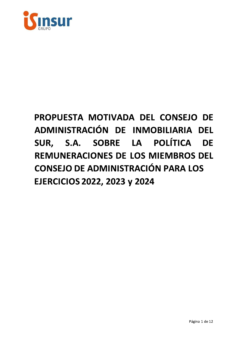

# PROPUESTA MOTIVADA DEL CONSEJO DE ADMINISTRACIÓN DE INMOBILIARIA DEL SUR, S.A. SOBRE LA POLÍTICA DE **REMUNERACIONES DE LOS MIEMBROS DEL CONSEJO DE ADMINISTRACIÓN PARA LOS EJERCICIOS 2022, 2023 y 2024**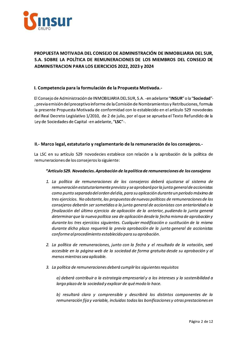

# PROPUESTA MOTIVADA DEL CONSEJO DE ADMINISTRACIÓN DE INMOBILIARIA DEL SUR. S.A. SOBRE LA POLÍTICA DE REMUNERACIONES DE LOS MIEMBROS DEL CONSEJO DE **ADMINISTRACION PARA LOS EJERCICIOS 2022, 2023 y 2024**

## I. Competencia para la formulación de la Propuesta Motivada.-

El Consejo de Administración de INMOBILIARIA DEL SUR, S.A. - en adelante "INSUR" o la "Sociedad"-, previa emisión del preceptivo informe de la Comisión de Nombramientos y Retribuciones, formula la presente Propuesta Motivada de conformidad con lo establecido en el artículo 529 novodecies del Real Decreto Legislativo 1/2010, de 2 de julio, por el que se aprueba el Texto Refundido de la Ley de Sociedades de Capital - en adelante, "LSC"-.

## II.- Marco legal, estatutario y reglamentario de la remuneración de los consejeros.-

La LSC en su artículo 529 novodecies establece con relación a la aprobación de la política de remuneraciones de los consejeros lo siguiente:

#### "Artículo 529. Novodecies. Aprobación de la política de remuneraciones de los consejeros

- 1. La política de remuneraciones de los consejeros deberá ajustarse al sistema de remuneración estatutariamente previsto y se aprobará por la junta general de accionistas como punto separado del orden del día, para su aplicación durante un período máximo de tres ejercicios. No obstante, las propuestas de nuevas políticas de remuneraciones de los consejeros deberán ser sometidas a la junta general de accionistas con anterioridad a la finalización del último ejercicio de aplicación de la anterior, pudiendo la junta general determinar que la nueva política sea de aplicación desde la fecha misma de aprobación y durante los tres ejercicios siguientes. Cualquier modificación o sustitución de la misma durante dicho plazo reguerirá la previa aprobación de la junta general de accionistas conforme al procedimiento establecido para su aprobación.
- 2. La política de remuneraciones, junto con la fecha y el resultado de la votación, será accesible en la página web de la sociedad de forma gratuita desde su aprobación y al menos mientras sea aplicable.
- 3. La política de remuneraciones deberá cumplir los siguientes requisitos

a) deberá contribuir a la estrategia empresarial y a los intereses y la sostenibilidad a largo plazo de la sociedad y explicar de qué modo lo hace.

b) resultará clara y comprensible y describirá los distintos componentes de la remuneración fija y variable, incluidas todas las bonificaciones y otras prestaciones en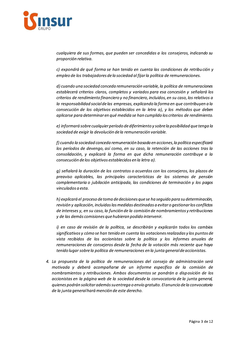

cualquiera de sus formas, que pueden ser concedidas a los consejeros, indicando su proporción relativa.

c) expondrá de qué forma se han tenido en cuenta las condiciones de retribución y empleo de los trabajadores de la sociedad al fijar la política de remuneraciones.

d) cuando una sociedad conceda remuneración variable, la política de remuneraciones establecerá criterios claros, completos y variados para esa concesión y señalará los criterios de rendimiento financiero y no financiero, incluidos, en su caso, los relativos a la responsabilidad social de las empresas, explicando la forma en que contribuyen a la consecución de los objetivos establecidos en la letra a), y los métodos que deben aplicarse para determinar en qué medida se han cumplido los criterios de rendimiento.

e) informará sobre cualquier período de diferimiento y sobre la posibilidad que tenga la sociedad de exigir la devolución de la remuneración variable.

f) cuando la sociedad conceda remuneración basada en acciones, la política especificará los períodos de devengo, así como, en su caso, la retención de las acciones tras la consolidación, y explicará la forma en que dicha remuneración contribuye a la consecución de los objetivos establecidos en la letra a).

g) señalará la duración de los contratos o acuerdos con los consejeros, los plazos de preaviso aplicables, las principales características de los sistemas de pensión complementaria o jubilación anticipada, las condiciones de terminación y los pagos vinculados a esta.

h) explicará el proceso de toma de decisiones que se ha seguido para su determinación, revisión y aplicación, incluidas las medidas destinadas a evitar o gestionar los conflictos de intereses y, en su caso, la función de la comisión de nombramientos y retribuciones y de las demás comisiones que hubieran podido intervenir.

i) en caso de revisión de la política, se describirán y explicarán todos los cambios significativos y cómo se han tenido en cuenta las votaciones realizadas y los puntos de vista recibidos de los accionistas sobre la política y los informes anuales de remuneraciones de consejeros desde la fecha de la votación más reciente que haya tenido lugar sobre la política de remuneraciones en la junta general de accionistas.

4. La propuesta de la política de remuneraciones del consejo de administración será motivada y deberá acompañarse de un informe específico de la comisión de nombramientos y retribuciones. Ambos documentos se pondrán a disposición de los accionistas en la página web de la sociedad desde la convocatoria de la junta general, quienes podrán solicitar además su entrega o envío gratuito. El anuncio de la convocatoria de la junta general hará mención de este derecho.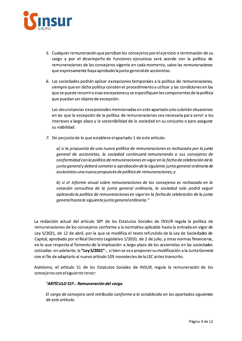

- 5. Cualquier remuneración que perciban los consejeros por el ejercicio o terminación de su cargo y por el desempeño de funciones ejecutivas será acorde con la política de remuneraciones de los consejeros vigente en cada momento, salvo las remuneraciones que expresamente haya aprobado la junta general de accionistas.
- 6. Las sociedades podrán aplicar excepciones temporales a la política de remuneraciones, siempre que en dicha política consten el procedimiento a utilizar y las condiciones en las que se puede recurrir a esas excepciones y se especifiquen los componentes de la política que puedan ser objeto de excepción.

Las circunstancias excepcionales mencionadas en este apartado solo cubrirán situaciones en las que la excepción de la política de remuneraciones sea necesaria para servir a los intereses a largo plazo y la sostenibilidad de la sociedad en su conjunto o para asegurar su viabilidad.

7. Sin perjuicio de lo que establece el apartado 1 de este artículo:

a) si la propuesta de una nueva política de remuneraciones es rechazada por la junta general de accionistas, la sociedad continuará remunerando a sus consejeros de conformidad con la política de remuneraciones en vigor en la fecha de celebración de la junta general y deberá someter a aprobación de la siguiente junta general ordinaria de accionistas una nueva propuesta de política de remuneraciones; y

b) si el informe anual sobre remuneraciones de los consejeros es rechazado en la votación consultiva de la junta general ordinaria, la sociedad solo podrá seguir aplicando la política de remuneraciones en vigor en la fecha de celebración de la junta general hasta la siguiente junta general ordinaria."

La redacción actual del artículo 50º de los Estatutos Sociales de INSUR regula la política de remuneraciones de los consejeros conforme a la normativa aplicable hasta la entrada en vigor de Ley 5/2021, de 12 de abril, por la que se modifica el texto refundido de la Ley de Sociedades de Capital, aprobado por el Real Decreto Legislativo 1/2010, de 2 de julio, y otras normas financieras, en lo que respecta al fomento de la implicación a largo plazo de los accionistas en las sociedades cotizadas - en adelante, la "Ley 5/2021" -, si bien se va a proponer su modificación a la Junta General con el fin de adaptarlo al nuevo artículo 529 novodecies de la LSC antes transcrito.

Asimismo, el artículo 51 de los Estatutos Sociales de INSUR, regula la remuneración de los consejeros con el siguiente tenor:

## "ARTÍCULO 51º.- Remuneración del cargo

El cargo de consejero será retribuido conforme a lo establecido en los apartados siguientes de este artículo.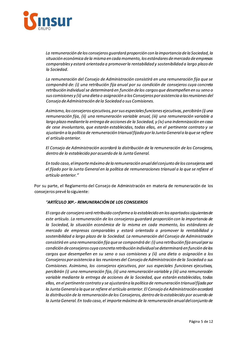

La remuneración de los consejeros quardará proporción con la importancia de la Sociedad, la situación económica de la misma en cada momento, los estándares de mercado de empresas comparables y estará orientada a promover la rentabilidad y sostenibilidad a largo plazo de la Sociedad.

La remuneración del Consejo de Administración consistirá en una remuneración fija que se compondrá de: (i) una retribución fija anual por su condición de consejeros cuya concreta retribución individual se determinará en función de los cargos que desempeñen en su seno o sus comisiones y (ii) una dieta o asignación a los Consejeros por asistencia a las reuniones del Consejo de Administración de la Sociedad o sus Comisiones.

Asimismo, los consejeros ejecutivos, por sus especiales funciones ejecutivas, percibirán (i) una remuneración fija, (ii) una remuneración variable anual, (iii) una remuneración variable a largo plazo mediante la entrega de acciones de la Sociedad, y (iv) una indemnización en caso de cese involuntario, que estarán establecidas, todas ellas, en el pertinente contrato y se ajustarán a la política de remuneración trianual fijada por la Junta General a la que se refiere el artículo anterior.

El Consejo de Administración acordará la distribución de la remuneración de los Consejeros, dentro de lo establecido por acuerdo de la Junta General.

En todo caso, el importe máximo de la remuneración anual del conjunto de los consejeros será el fijado por la Junta General en la política de remuneraciones trianual a la que se refiere el artículo anterior."

Por su parte, el Reglamento del Consejo de Administración en materia de remuneración de los consejeros prevé lo siguiente:

## "ARTÍCULO 30º. - REMUNERACIÓN DE LOS CONSEJEROS

El cargo de consejero será retribuido conforme a lo establecido en los apartados siguientes de este artículo. La remuneración de los consejeros guardará proporción con la importancia de la Sociedad, la situación económica de la misma en cada momento, los estándares de mercado de empresas comparables y estará orientada a promover la rentabilidad y sostenibilidad a largo plazo de la Sociedad. La remuneración del Consejo de Administración consistirá en una remuneración fija que se compondrá de: (i) una retribución fija anual por su condición de consejeros cuya concreta retribución individual se determinará en función de los cargos que desempeñen en su seno o sus comisiones y (ii) una dieta o asignación a los Consejeros por asistencia a las reuniones del Consejo de Administración de la Sociedad o sus Comisiones. Asimismo, los consejeros ejecutivos, por sus especiales funciones ejecutivas, percibirán (i) una remuneración fija, (ii) una remuneración variable y (iii) una remuneración variable mediante la entrega de acciones de la Sociedad, que estarán establecidas, todas ellas, en el pertinente contrato y se ajustarán a la política de remuneración trianual fijada por la Junta General a la que se refiere el artículo anterior. El Consejo de Administración acordará la distribución de la remuneración de los Consejeros, dentro de lo establecido por acuerdo de la Junta General. En todo caso, el importe máximo de la remuneración anual del conjunto de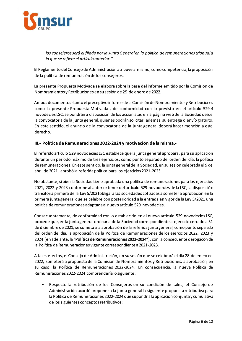

los consejeros será el fijado por la Junta General en la política de remuneraciones trianual a la que se refiere el artículo anterior."

El Reglamento del Consejo de Administración atribuye al mismo, como competencia, la proposición de la política de remuneración de los consejeros.

La presente Propuesta Motivada se elabora sobre la base del informe emitido por la Comisión de Nombramientos y Retribuciones en su sesión de 25 de enero de 2022.

Ambos documentos-tanto el preceptivo informe de la Comisión de Nombramientos y Retribuciones como la presente Propuesta Motivada-, de conformidad con lo previsto en el artículo 529.4 novodecies LSC, se pondrán a disposición de los accionistas en la página web de la Sociedad desde la convocatoria de la junta general, quienes podrán solicitar, además, su entrega o envío gratuito. En este sentido, el anuncio de la convocatoria de la junta general deberá hacer mención a este derecho.

## III.- Política de Remuneraciones 2022-2024 y motivación de la misma.-

El referido artículo 529 novodecies LSC establece que la junta general aprobará, para su aplicación durante un período máximo de tres ejercicios, como punto separado del orden del día, la política de remuneraciones. En este sentido, la junta general de la Sociedad, en su sesión celebrada el 9 de abril de 2021, aprobó la referida política para los ejercicios 2021-2023.

No obstante, si bien la Sociedad tiene aprobada una política de remuneraciones para los ejercicios 2021, 2022 y 2023 conforme al anterior tenor del artículo 529 novodecies de la LSC, la disposición transitoria primera de la Ley 5/2021 obliga a las sociedades cotizadas a someter a aprobación en la primera junta general que se celebre con posterioridad a la entrada en vigor de la Ley 5/2021 una política de remuneraciones adaptada al nuevo artículo 529 novodecies.

Consecuentemente, de conformidad con lo establecido en el nuevo artículo 529 novodecies LSC, procede que, en la junta general ordinaria de la Sociedad correspondiente al ejercicio cerrado a 31 de diciembre de 2021, se someta a la aprobación de la referida junta general, como punto separado del orden del día, la aprobación de la Política de Remuneraciones de los ejercicios 2022, 2023 y 2024 (en adelante, la "Política de Remuneraciones 2022-2024"), con la consecuente derogación de la Política de Remuneraciones vigente correspondiente a 2021-2023.

A tales efectos, el Consejo de Administración, en su sesión que se celebrará el día 28 de enero de 2022, someterá a propuesta de la Comisión de Nombramientos y Retribuciones, a aprobación, en su caso, la Política de Remuneraciones 2022-2024. En consecuencia, la nueva Política de Remuneraciones 2022-2024 comprendería lo siguiente:

Respecto la retribución de los Consejeros en su condición de tales, el Consejo de  $\blacksquare$ Administración acordó proponer a la junta general la siguiente propuesta retributiva para la Política de Remuneraciones 2022-2024 que supondría la aplicación conjunta y cumulativa de los siguientes conceptos retributivos: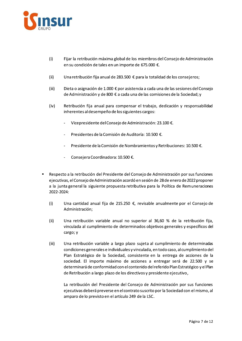

- $(i)$ Fijar la retribución máxima global de los miembros del Consejo de Administración en su condición de tales en un importe de 675.000 €.
- Una retribución fija anual de 283.500 € para la totalidad de los consejeros;  $(ii)$
- $(iii)$ Dieta o asignación de 1.000 € por asistencia a cada una de las sesiones del Consejo de Administración y de 800 € a cada una de las comisiones de la Sociedad; y
- $(iv)$ Retribución fija anual para compensar el trabajo, dedicación y responsabilidad inherentes al desempeño de los siguientes cargos:
	- Vicepresidente del Consejo de Administración: 23.100 €.
	- Presidentes de la Comisión de Auditoría: 10.500 €.
	- Presidente de la Comisión de Nombramientos y Retribuciones: 10.500 €.
	- Consejera Coordinadora: 10.500 €.
- Respecto a la retribución del Presidente del Consejo de Administración por sus funciones ejecutivas, el Consejo de Administración acordó en sesión de 28 de enero de 2022 proponer a la junta general la siguiente propuesta retributiva para la Política de Remuneraciones 2022-2024:
	- $(i)$ Una cantidad anual fija de 215.250 €, revisable anualmente por el Consejo de Administración;
	- Una retribución variable anual no superior al 36,60 % de la retribución fija,  $(ii)$ vinculada al cumplimiento de determinados objetivos generales y específicos del cargo; y
	- $(iii)$ Una retribución variable a largo plazo sujeta al cumplimiento de determinadas condiciones generales e individuales y vinculada, en todo caso, al cumplimiento del Plan Estratégico de la Sociedad, consistente en la entrega de acciones de la sociedad. El importe máximo de acciones a entregar será de 22.500 y se determinará de conformidad con el contenido del referido Plan Estratégico y el Plan de Retribución a largo plazo de los directivos y presidente ejecutivo,

La retribución del Presidente del Consejo de Administración por sus funciones ejecutivas deberá preverse en el contrato suscrito por la Sociedad con el mismo, al amparo de lo previsto en el artículo 249 de la LSC.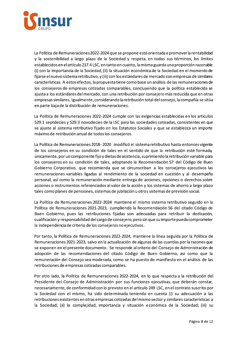

La Política de Remuneraciones 2022-2024 que se propone está orientada a promover la rentabilidad y la sostenibilidad a largo plazo de la Sociedad y respeta, en todos sus términos, los límites establecidos en el artículo 217.4 LSC, en tanto en cuanto, la misma guarda una proporción razonable (i) con la importancia de la Sociedad, (ii) la situación económica de la Sociedad en el momento de fijarse el nuevo sistema retributivo, y (iii) con los estándares de mercado con empresas de similares características. A estos efectos, la propuesta tiene como base un análisis de las remuneraciones de los consejeros de empresas cotizadas comparables, concluyendo que la política establecida se ajusta a los estándares del mercado, con una retribución por consejero más reducida que en otras empresas similares. Igualmente, considerando la retribución total del consejo, la compañía se sitúa en parte baja de la distribución de remuneraciones.

La Política de Remuneraciones 2022-2024 cumple con las exigencias establecidas en los artículos 529.1 septdecies y 529.3 novodecies de la LSC para las sociedades cotizadas, consistentes en que se ajuste al sistema retributivo fijado en los Estatutos Sociales y que se establezca un importe máximo de retribución anual de todos los consejeros.

La Política de Remuneraciones 2018-2020 modificó el sistema retributivo hasta entonces vigente de los consejeros en su condición de tales en el sentido de que la retribución esté formada, únicamente, por un componente fijo y dietas de asistencia, suprimiendo la retribución variable para los consejeros en su condición de tales, adoptando la Recomendación 57 del Código de Buen Gobierno Corporativo, que recomienda que se circunscriban a los consejeros ejecutivos las remuneraciones variables ligadas al rendimiento de la sociedad en cuestión y al desempeño personal, así como la remuneración mediante entrega de acciones, opciones o derechos sobre acciones o instrumentos referenciados al valor de la acción y los sistemas de ahorro a largo plazo tales como planes de pensiones, sistemas de jubilación u otros sistemas de previsión social.

La Política de Remuneraciones 2022-2024 mantiene el mismo sistema retributivo seguido en la Política de Remuneraciones 2021-2023, cumpliendo la Recomendación 56 del citado Código de Buen Gobierno, pues las retribuciones fijadas son adecuadas para retribuir la dedicación, cualificación y responsabilidad del cargo de consejero, pero sin que su importe pueda comprometer la independencia de criterio de los consejeros no ejecutivos.

Por tanto, la Política de Remuneraciones 2022-2024, mantiene la línea seguida por la Política de Remuneraciones 2021-2023, salvo en la actualización de algunas de las cuantías por la razones que se exponen en el presente documento. Se responde al criterio del Consejo de Administración de adopción de las recomendaciones del citado Código de Buen Gobierno, así como que la remuneración del Consejo sea moderada, como se ha puesto de manifiesto en el análisis de las retribuciones de empresas cotizadas comparables.

Por otro lado, la Política de Remuneraciones 2022-2024, en lo que respecta a la retribución del Presidente del Consejo de Administración por sus funciones ejecutivas, que deberán constar, necesariamente, de conformidad con lo previsto en el artículo 249 LSC, en el contrato suscrito por la Sociedad con el mismo, ha sido determinada teniendo en cuenta (i) su adecuación a las retribuciones existentes en otras empresas cotizadas del mismo sector y similares características a la Sociedad; (ii) la complejidad, importancia y situación económica de la Sociedad; (iii) su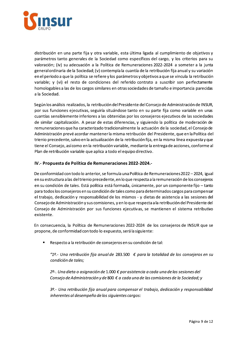

distribución en una parte fija y otra variable, esta última ligada al cumplimiento de objetivos y parámetros tanto generales de la Sociedad como específicos del cargo, y los criterios para su valoración; (iv) su adecuación a la Política de Remuneraciones 2022-2024 a someter a la junta general ordinaria de la Sociedad; (v) contempla la cuantía de la retribución fija anual y su variación en el periodo a que la política se refiere y los parámetros y objetivos a que se vincula la retribución variable; y (vi) el resto de condiciones del referido contrato a suscribir son perfectamente homologables a las de los cargos similares en otras sociedades de tamaño e importancia parecidas a la Sociedad.

Según los análisis realizados, la retribución del Presidente del Consejo de Administración de INSUR, por sus funciones ejecutivas, seguiría situándose tanto en su parte fija como variable en unas cuantías sensiblemente inferiores a las obtenidas por los consejeros ejecutivos de las sociedades de similar capitalización. A pesar de estas diferencias, y siguiendo la política de moderación de remuneraciones que ha caracterizado tradicionalmente la actuación de la sociedad, el Consejo de Administración prevé acordar mantener la misma retribución del Presidente, que en la Política del trienio precedente, salvo en la actualización de la retribución fija, en la misma línea expuesta y que tiene el Consejo, así como en la retribución variable, mediante la entrega de acciones, conforme al Plan de retribución variable que aplica a todo el equipo directivo.

## IV.- Propuesta de Política de Remuneraciones 2022-2024.-

De conformidad con todo lo anterior, se formula una Política de Remuneraciones 2022 - 2024, igual en su estructura a las del trienio precedente, en lo que respecta a la remuneración de los consejeros en su condición de tales. Está política está formada, únicamente, por un componente fijo - tanto para todos los consejeros en su condición de tales como para determinados cargos para compensar el trabajo, dedicación y responsabilidad de los mismos - y dietas de asistencia a las sesiones del Consejo de Administración y sus comisiones, y en lo que respecta a la retribución del Presidente del Consejo de Administración por sus funciones ejecutivas, se mantienen el sistema retributivo existente.

En consecuencia, la Política de Remuneraciones 2022-2024 de los consejeros de INSUR que se propone, de conformidad con todo lo expuesto, será la siguiente:

 $\blacksquare$ Respecto a la retribución de consejeros en su condición de tal:

"1º.- Una retribución fija anual de 283.500 € para la totalidad de los consejeros en su condición de tales:

2º-. Una dieta o asignación de 1.000 € por asistencia a cada una de las sesiones del Consejo de Administración y de 800  $\epsilon$  a cada una de las comisiones de la Sociedad; y

3º.- Una retribución fija anual para compensar el trabajo, dedicación y responsabilidad inherentes al desempeño de los siguientes cargos: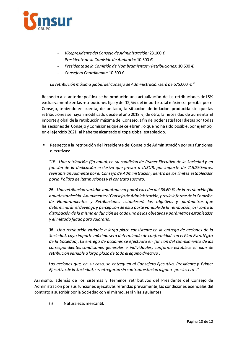

- Vicepresidente del Consejo de Administración: 23.100 €.
- Presidente de la Comisión de Auditoría: 10.500 €.  $\sim$
- Presidente de la Comisión de Nombramientos y Retribuciones: 10.500 €.  $\blacksquare$
- Consejero Coordinador: 10.500 €.

#### La retribución máxima global del Consejo de Administración será de 675.000 €."

Respecto a la anterior política se ha producido una actualización de las retribuciones del 5% exclusivamente en las retribuciones fijas y del 12,5% del importe total máximo a percibir por el Consejo, teniendo en cuenta, de un lado, la situación de inflación producida sin que las retribuciones se hayan modificado desde el año 2018 y, de otro, la necesidad de aumentar el importe global de la retribución máxima del Consejo, a fin de poder satisfacer dietas por todas las sesiones del Consejo y Comisiones que se celebren, lo que no ha sido posible, por ejemplo, en el ejercicio 2021, al haberse alcanzado el tope global establecido.

Respecto a la retribución del Presidente del Consejo de Administración por sus funciones ejecutivas:

"1º.- Una retribución fija anual, en su condición de Primer Ejecutivo de la Sociedad y en función de la dedicación exclusiva que presta a INSUR, por importe de 215.250euros, revisable anualmente por el Consejo de Administración, dentro de los límites establecidos por la Política de Retribuciones y el contrato suscrito.

2<sup>g</sup>. Una retribución variable anual que no podrá exceder del 36,60 % de la retribución fija anual establecida. Anualmente el Consejo de Administración, previo informe de la Comisión de Nombramientos y Retribuciones establecerá los objetivos y parámetros que determinarán el devengo y percepción de esta parte variable de la retribución, así como la distribución de la misma en función de cada uno de los objetivos y parámetros establecidos y el método fijado para valorarlo.

3<sup>o</sup>.- Una retribución variable a largo plazo consistente en la entrega de acciones de la Sociedad, cuyo importe máximo será determinado de conformidad con el Plan Estratégico de la Sociedad,. La entrega de acciones se efectuará en función del cumplimiento de las correspondientes condiciones generales e individuales, conforme establece el plan de retribución variable a largo plazo de todo el equipo directivo.

Las acciones que, en su caso, se entreguen al Consejero Ejecutivo, Presidente y Primer Ejecutivo de la Sociedad, se entregarán sin contraprestación alguna -precio cero-."

Asimismo, además de los sistemas y términos retributivos del Presidente del Consejo de Administración por sus funciones ejecutivas referidas previamente, las condiciones esenciales del contrato a suscribir por la Sociedad con el mismo, serán las siguientes:

 $(i)$ Naturaleza: mercantil.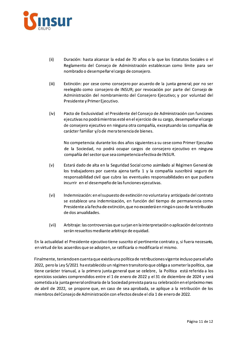

- $(ii)$ Duración: hasta alcanzar la edad de 70 años o la que los Estatutos Sociales o el Reglamento del Consejo de Administración establezcan como límite para ser nombrado o desempeñar el cargo de consejero.
- $(iii)$ Extinción: por cese como consejero por acuerdo de la junta general; por no ser reelegido como consejero de INSUR; por revocación por parte del Consejo de Administración del nombramiento del Consejero Ejecutivo; y por voluntad del Presidente y Primer Ejecutivo.
- $(iv)$ Pacto de Exclusividad: el Presidente del Consejo de Administración con funciones ejecutivas no podrá mientras esté en el ejercicio de su cargo, desempeñar el cargo de consejero ejecutivo en ninguna otra compañía, exceptuando las compañías de carácter familiar y/o de mera tenencia de bienes.

No competencia: durante los dos años siguientes a su cese como Primer Ejecutivo de la Sociedad, no podrá ocupar cargos de consejero ejecutivo en ninguna compañía del sector que sea competencia efectiva de INSUR.

- $(v)$ Estará dado de alta en la Seguridad Social como asimilado al Régimen General de los trabajadores por cuenta ajena tarifa 1 y la compañía suscribirá seguro de responsabilidad civil que cubra las eventuales responsabilidades en que pudiera incurrir en el desempeño de las funciones ejecutivas.
- $(vi)$ Indemnización: en el supuesto de extinción no voluntaria y anticipada del contrato se establece una indemnización, en función del tiempo de permanencia como Presidente a la fecha de extinción, que no excederá en ningún caso de la retribución de dos anualidades.
- $(vii)$ Arbitraje: las controversias que surjan en la interpretación o aplicación del contrato serán resueltos mediante arbitraje de equidad.

En la actualidad el Presidente ejecutivo tiene suscrito el pertinente contrato y, si fuera necesario, en virtud de los acuerdos que se adopten, se ratificaría o modificaría el mismo.

Finalmente, teniendo en cuenta que existía una política de retribuciones vigente incluso para el año 2022, pero la Ley 5/2021 ha establecido un régimen transitorio que obliga a someter la política, que tiene carácter trianual, a la primera junta general que se celebre, la Política está referida a los ejercicios sociales comprendidos entre el 1 de enero de 2022 y el 31 de diciembre de 2024 y será sometida a la junta general ordinaria de la Sociedad prevista para su celebración en el próximo mes de abril de 2022, se propone que, en caso de sea aprobada, se aplique a la retribución de los miembros del Consejo de Administración con efectos desde el día 1 de enero de 2022.